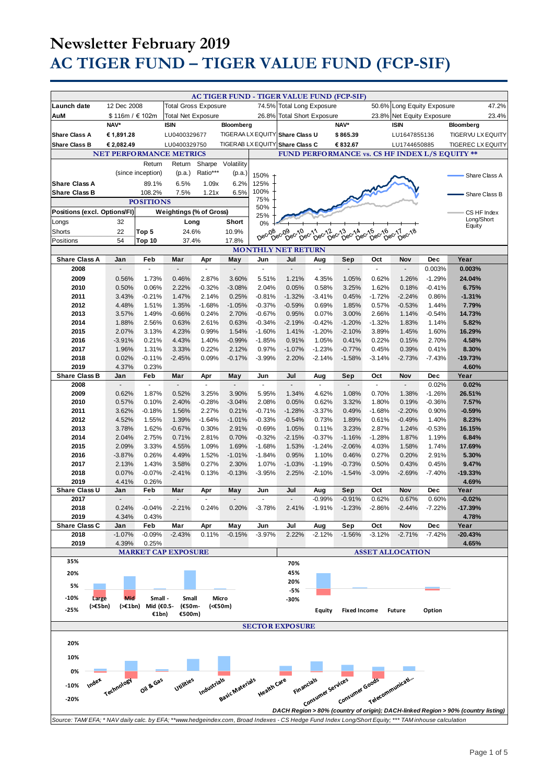|                                                                                                                                                     |                                |                    |                             |                       |                   |                       | AC TIGER FUND - TIGER VALUE FUND (FCP-SIF)           |                      |                                    |                   |                            |                        |                                                                                   |       |
|-----------------------------------------------------------------------------------------------------------------------------------------------------|--------------------------------|--------------------|-----------------------------|-----------------------|-------------------|-----------------------|------------------------------------------------------|----------------------|------------------------------------|-------------------|----------------------------|------------------------|-----------------------------------------------------------------------------------|-------|
| Launch date                                                                                                                                         | 12 Dec 2008                    |                    | <b>Total Gross Exposure</b> |                       |                   |                       | 74.5% Total Long Exposure                            |                      |                                    |                   | 50.6% Long Equity Exposure |                        |                                                                                   | 47.2% |
| AuM                                                                                                                                                 | \$116m / €102m                 |                    | <b>Total Net Exposure</b>   |                       |                   | 26.8%                 | <b>Total Short Exposure</b>                          |                      |                                    |                   | 23.8% Net Equity Exposure  |                        |                                                                                   | 23.4% |
|                                                                                                                                                     | NAV*                           |                    | <b>ISIN</b>                 |                       | Bloomberg         |                       |                                                      |                      | NAV*                               |                   | <b>ISIN</b>                |                        | Bloomberg                                                                         |       |
| <b>Share Class A</b>                                                                                                                                | € 1,891.28                     |                    | LU0400329677                |                       |                   |                       | TIGERAA LX EQUITY Share Class U                      |                      | \$865.39                           |                   | LU1647855136               |                        | TIGERVU LX EQUITY                                                                 |       |
| <b>Share Class B</b>                                                                                                                                | € 2,082.49                     |                    | LU0400329750                |                       | TIGERAB LX EQUITY |                       | <b>Share Class C</b>                                 |                      | € 832.67                           |                   | LU1744650885               |                        | <b>TIGEREC LX EQUITY</b>                                                          |       |
|                                                                                                                                                     | <b>NET PERFORMANCE METRICS</b> |                    |                             |                       |                   |                       |                                                      |                      |                                    |                   |                            |                        | FUND PERFORMANCE vs. CS HF INDEX L/S EQUITY **                                    |       |
|                                                                                                                                                     |                                | Return             | Return                      | Sharpe                | Volatility        |                       |                                                      |                      |                                    |                   |                            |                        |                                                                                   |       |
|                                                                                                                                                     |                                | (since inception)  | (p.a.)                      | Ratio***              | (p.a.)            |                       |                                                      |                      |                                    |                   |                            |                        |                                                                                   |       |
| <b>Share Class A</b>                                                                                                                                |                                | 89.1%              | 6.5%                        | 1.09x                 | 6.2%              | 150%<br>125%          |                                                      |                      |                                    |                   |                            |                        | Share Class A                                                                     |       |
| <b>Share Class B</b>                                                                                                                                |                                | 108.2%             | 7.5%                        | 1.21x                 | 6.5%              | 100%                  |                                                      |                      |                                    |                   |                            |                        |                                                                                   |       |
| <b>POSITIONS</b>                                                                                                                                    |                                |                    |                             | 75%                   |                   |                       |                                                      |                      |                                    |                   | Share Class B              |                        |                                                                                   |       |
| Positions (excl. Options/FI)<br>Weightings (% of Gross)                                                                                             |                                |                    |                             |                       |                   | 50%                   |                                                      |                      |                                    |                   |                            |                        | CS HF Index                                                                       |       |
| Longs                                                                                                                                               | 32                             |                    | Long                        |                       | Short             | 25%                   |                                                      |                      |                                    |                   |                            |                        | Long/Short                                                                        |       |
| Shorts                                                                                                                                              | 22                             | Top 5              | 24.6%                       |                       | 10.9%             | 0%                    |                                                      |                      |                                    |                   |                            |                        | Equity                                                                            |       |
| Positions                                                                                                                                           | 54                             | Top 10             | 37.4%                       |                       | 17.8%             | Dec-08                | 08-09-09-10-011-06-12-013<br>Dec-Dec-Dec-12-01-01-01 |                      | $6e^{x^{15}}$<br>bec <sub>14</sub> | bec-16            | 16 c 17 ec 18              |                        |                                                                                   |       |
|                                                                                                                                                     | <b>MONTHLY NET RETURN</b>      |                    |                             |                       |                   |                       |                                                      |                      |                                    |                   |                            |                        |                                                                                   |       |
| <b>Share Class A</b>                                                                                                                                | Jan                            | Feb                | Mar                         | Apr                   | May               | Jun                   | Jul                                                  | Aug                  | Sep                                | Oct               | Nov                        | <b>Dec</b>             | Year                                                                              |       |
| 2008                                                                                                                                                | ÷,                             | ä,                 | ÷.                          | ä,                    | Ē,                | ä,                    | $\mathbb{Z}^2$                                       | $\overline{a}$       | $\mathbf{r}$                       | ä,                | ÷.                         | 0.003%                 | 0.003%                                                                            |       |
| 2009                                                                                                                                                | 0.56%                          | 1.73%              | 0.46%                       | 2.87%                 | 3.60%             | 5.51%                 | 1.21%                                                | 4.35%                | 1.05%                              | 0.62%             | 1.26%                      | $-1.29%$               | 24.04%                                                                            |       |
| 2010                                                                                                                                                | 0.50%                          | 0.06%              | 2.22%                       | $-0.32%$              | $-3.08%$          | 2.04%                 | 0.05%                                                | 0.58%                | 3.25%                              | 1.62%             | 0.18%                      | $-0.41%$               | 6.75%                                                                             |       |
| 2011                                                                                                                                                | 3.43%                          | $-0.21%$           | 1.47%                       | 2.14%                 | 0.25%             | $-0.81%$              | $-1.32%$                                             | $-3.41%$             | 0.45%                              | $-1.72%$          | $-2.24%$                   | 0.86%                  | $-1.31%$                                                                          |       |
| 2012                                                                                                                                                | 4.48%                          | 1.51%              | 1.35%                       | $-1.68%$              | $-1.05%$          | $-0.37%$              | $-0.59%$                                             | 0.69%                | 1.85%                              | 0.57%             | $-0.53%$                   | 1.44%                  | 7.79%                                                                             |       |
| 2013                                                                                                                                                | 3.57%                          | 1.49%              | $-0.66%$                    | 0.24%                 | 2.70%             | $-0.67%$              | 0.95%                                                | 0.07%                | 3.00%                              | 2.66%             | 1.14%                      | $-0.54%$               | 14.73%                                                                            |       |
| 2014                                                                                                                                                | 1.88%                          | 2.56%              | 0.63%                       | 2.61%                 | 0.63%             | $-0.34%$              | $-2.19%$                                             | $-0.42%$             | $-1.20%$                           | $-1.32%$          | 1.83%                      | 1.14%                  | 5.82%                                                                             |       |
| 2015                                                                                                                                                | 2.07%                          | 3.13%              | 4.23%                       | 0.99%                 | 1.54%             | $-1.60%$              | 1.41%                                                | $-1.20%$             | $-2.10%$                           | 3.89%             | 1.45%                      | 1.60%                  | 16.29%                                                                            |       |
| 2016                                                                                                                                                | $-3.91%$                       | 0.21%              | 4.43%                       | 1.40%                 | $-0.99%$          | $-1.85%$              | 0.91%                                                | 1.05%                | 0.41%                              | 0.22%             | 0.15%                      | 2.70%                  | 4.58%                                                                             |       |
| 2017<br>2018                                                                                                                                        | 1.96%<br>0.02%                 | 1.31%<br>$-0.11%$  | 3.33%<br>$-2.45%$           | 0.22%<br>0.09%        | 2.12%<br>$-0.17%$ | 0.97%<br>$-3.99%$     | $-1.07%$<br>2.20%                                    | $-1.23%$<br>$-2.14%$ | $-0.77%$<br>$-1.58%$               | 0.45%<br>$-3.14%$ | 0.39%<br>$-2.73%$          | 0.41%<br>$-7.43%$      | 8.30%<br>$-19.73%$                                                                |       |
| 2019                                                                                                                                                | 4.37%                          | 0.23%              |                             |                       |                   |                       |                                                      |                      |                                    |                   |                            |                        | 4.60%                                                                             |       |
| <b>Share Class B</b>                                                                                                                                | Jan                            | Feb                | Mar                         | Apr                   | May               | Jun                   | Jul                                                  | Aug                  | Sep                                | Oct               | Nov                        | <b>Dec</b>             | Year                                                                              |       |
| 2008                                                                                                                                                | $\blacksquare$                 | ä,                 |                             | $\tilde{\phantom{a}}$ | Ē,                | $\tilde{\phantom{a}}$ | $\tilde{\phantom{a}}$                                |                      | $\sim$                             | $\overline{a}$    |                            | 0.02%                  | 0.02%                                                                             |       |
| 2009                                                                                                                                                | 0.62%                          | 1.87%              | 0.52%                       | 3.25%                 | 3.90%             | 5.95%                 | 1.34%                                                | 4.62%                | 1.08%                              | 0.70%             | 1.38%                      | $-1.26%$               | 26.51%                                                                            |       |
| 2010                                                                                                                                                | 0.57%                          | 0.10%              | 2.40%                       | $-0.28%$              | $-3.04%$          | 2.08%                 | 0.05%                                                | 0.62%                | 3.32%                              | 1.80%             | 0.19%                      | $-0.36%$               | 7.57%                                                                             |       |
| 2011                                                                                                                                                | 3.62%                          | $-0.18%$           | 1.56%                       | 2.27%                 | 0.21%             | $-0.71%$              | $-1.28%$                                             | $-3.37%$             | 0.49%                              | $-1.68%$          | $-2.20%$                   | 0.90%                  | $-0.59%$                                                                          |       |
| 2012                                                                                                                                                | 4.52%                          | 1.55%              | 1.39%                       | $-1.64%$              | $-1.01%$          | $-0.33%$              | $-0.54%$                                             | 0.73%                | 1.89%                              | 0.61%             | $-0.49%$                   | 1.40%                  | 8.23%                                                                             |       |
| 2013                                                                                                                                                | 3.78%                          | 1.62%              | $-0.67%$                    | 0.30%                 | 2.91%             | $-0.69%$              | 1.05%                                                | 0.11%                | 3.23%                              | 2.87%             | 1.24%                      | $-0.53%$               | 16.15%                                                                            |       |
| 2014<br>2015                                                                                                                                        | 2.04%<br>2.09%                 | 2.75%              | 0.71%<br>4.55%              | 2.81%<br>1.09%        | 0.70%<br>1.69%    | $-0.32%$<br>$-1.68%$  | $-2.15%$<br>1.53%                                    | $-0.37%$<br>$-1.24%$ | $-1.16%$<br>$-2.06%$               | $-1.28%$<br>4.03% | 1.87%                      | 1.19%                  | 6.84%<br>17.69%                                                                   |       |
| 2016                                                                                                                                                | $-3.87%$                       | 3.33%<br>0.26%     | 4.49%                       | 1.52%                 | $-1.01%$          | $-1.84%$              | 0.95%                                                | 1.10%                | 0.46%                              | 0.27%             | 1.58%<br>0.20%             | 1.74%<br>2.91%         | 5.30%                                                                             |       |
| 2017                                                                                                                                                | 2.13%                          | 1.43%              | 3.58%                       | 0.27%                 | 2.30%             | 1.07%                 | $-1.03%$                                             | $-1.19%$             | $-0.73%$                           | 0.50%             | 0.43%                      | 0.45%                  | 9.47%                                                                             |       |
| 2018                                                                                                                                                | 0.07%                          | $-0.07%$           | $-2.41%$                    | 0.13%                 | $-0.13%$          | $-3.95%$              | 2.25%                                                | $-2.10%$             | $-1.54%$                           | $-3.09%$          | $-2.69%$                   | $-7.40%$               | $-19.33%$                                                                         |       |
| 2019                                                                                                                                                | 4.41%                          | 0.26%              |                             |                       |                   |                       |                                                      |                      |                                    |                   |                            |                        | 4.69%                                                                             |       |
| Share Class U                                                                                                                                       | Jan                            | Feb                | Mar                         | Apr                   | May               | Jun                   | Jul                                                  | Aug                  | Sep                                | Oct               | Nov                        | Dec                    | Year                                                                              |       |
| 2017                                                                                                                                                | $\overline{a}$                 | ÷,                 |                             |                       |                   |                       |                                                      | $-0.99%$             | $-0.91%$                           | 0.62%             | 0.67%                      | 0.60%                  | $-0.02%$                                                                          |       |
| 2018                                                                                                                                                | 0.24%                          | $-0.04%$           | $-2.21%$                    | 0.24%                 | 0.20%             | $-3.78%$              | 2.41%                                                | $-1.91%$             | $-1.23%$                           | $-2.86%$          | $-2.44%$                   | $-7.22\%$              | $-17.39%$                                                                         |       |
| 2019                                                                                                                                                | 4.34%                          | 0.43%              |                             |                       |                   |                       |                                                      |                      |                                    |                   |                            |                        | 4.78%                                                                             |       |
| Share Class C<br>2018                                                                                                                               | Jan<br>$-1.07%$                | Feb<br>$-0.09%$    | Mar<br>$-2.43%$             | Apr<br>0.11%          | May<br>$-0.15%$   | Jun<br>$-3.97%$       | Jul<br>2.22%                                         | Aug<br>$-2.12%$      | Sep<br>$-1.56%$                    | Oct<br>$-3.12%$   | Nov<br>$-2.71%$            | <b>Dec</b><br>$-7.42%$ | Year<br>-20.43%                                                                   |       |
| 2019                                                                                                                                                | 4.39%                          | 0.25%              |                             |                       |                   |                       |                                                      |                      |                                    |                   |                            |                        | 4.65%                                                                             |       |
|                                                                                                                                                     |                                |                    | <b>MARKET CAP EXPOSURE</b>  |                       |                   |                       |                                                      |                      |                                    |                   | <b>ASSET ALLOCATION</b>    |                        |                                                                                   |       |
| 35%                                                                                                                                                 |                                |                    |                             |                       |                   |                       | 70%                                                  |                      |                                    |                   |                            |                        |                                                                                   |       |
| 20%                                                                                                                                                 |                                |                    |                             |                       |                   |                       | 45%                                                  |                      |                                    |                   |                            |                        |                                                                                   |       |
|                                                                                                                                                     |                                |                    |                             |                       |                   |                       | 20%                                                  |                      |                                    |                   |                            |                        |                                                                                   |       |
| 5%                                                                                                                                                  |                                |                    |                             |                       |                   |                       | -5%                                                  |                      |                                    |                   |                            |                        |                                                                                   |       |
| $-10%$<br>Large                                                                                                                                     | Mid                            | Small -            | Small                       |                       | Micro             |                       | -30%                                                 |                      |                                    |                   |                            |                        |                                                                                   |       |
| $(\geq \epsilon 5bn)$<br>$-25%$                                                                                                                     |                                | (>€1bn) Mid (€0.5- | (€50m-                      |                       | (<€50m)           |                       |                                                      | Equity               | <b>Fixed Income</b>                |                   | <b>Future</b>              | Option                 |                                                                                   |       |
|                                                                                                                                                     |                                | €1bn)              | €500m)                      |                       |                   |                       |                                                      |                      |                                    |                   |                            |                        |                                                                                   |       |
|                                                                                                                                                     |                                |                    |                             |                       |                   |                       | <b>SECTOR EXPOSURE</b>                               |                      |                                    |                   |                            |                        |                                                                                   |       |
| 20%                                                                                                                                                 |                                |                    |                             |                       |                   |                       |                                                      |                      |                                    |                   |                            |                        |                                                                                   |       |
|                                                                                                                                                     |                                |                    |                             |                       |                   |                       |                                                      |                      |                                    |                   |                            |                        |                                                                                   |       |
| 10%                                                                                                                                                 |                                |                    |                             |                       |                   |                       |                                                      |                      |                                    |                   |                            |                        |                                                                                   |       |
| 0%                                                                                                                                                  |                                |                    |                             |                       |                   |                       |                                                      |                      |                                    |                   |                            |                        |                                                                                   |       |
|                                                                                                                                                     |                                |                    |                             |                       |                   |                       |                                                      |                      |                                    |                   |                            |                        |                                                                                   |       |
| Index<br>$-10%$                                                                                                                                     | Technology                     | Oil & Gas          | Utilities                   |                       |                   |                       | Financials                                           |                      |                                    |                   |                            |                        |                                                                                   |       |
| Telecommunicati<br>Industrials Basic Materials<br>Consumer Goods<br>Consumer services<br>Health Care<br>$-20%$                                      |                                |                    |                             |                       |                   |                       |                                                      |                      |                                    |                   |                            |                        |                                                                                   |       |
|                                                                                                                                                     |                                |                    |                             |                       |                   |                       |                                                      |                      |                                    |                   |                            |                        | DACH Region > 80% (country of origin); DACH-linked Region > 90% (country listing) |       |
| Source: TAM/EFA; * NAV daily calc. by EFA; **www.hedgeindex.com, Broad Indexes - CS Hedge Fund Index Long/Short Equity; *** TAM inhouse calculation |                                |                    |                             |                       |                   |                       |                                                      |                      |                                    |                   |                            |                        |                                                                                   |       |
|                                                                                                                                                     |                                |                    |                             |                       |                   |                       |                                                      |                      |                                    |                   |                            |                        |                                                                                   |       |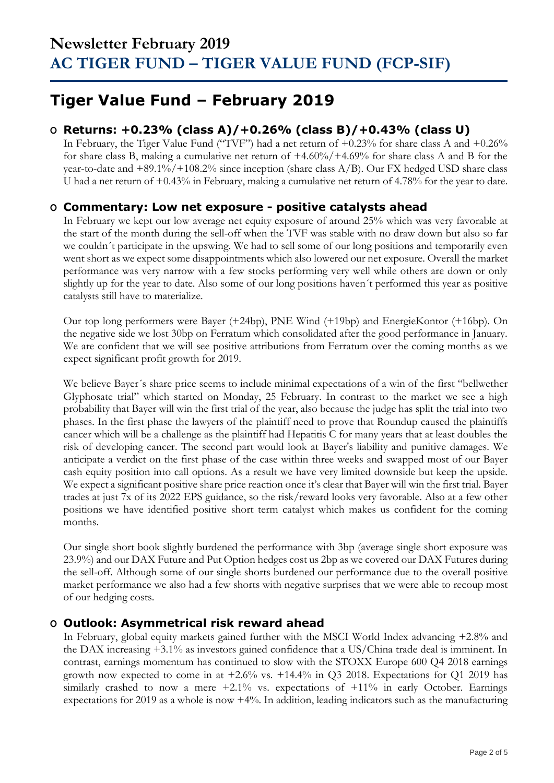## **Tiger Value Fund – February 2019**

### **O Returns: +0.23% (class A)/+0.26% (class B)/+0.43% (class U)**

In February, the Tiger Value Fund ("TVF") had a net return of  $+0.23\%$  for share class A and  $+0.26\%$ for share class B, making a cumulative net return of +4.60%/+4.69% for share class A and B for the year-to-date and +89.1%/+108.2% since inception (share class A/B). Our FX hedged USD share class U had a net return of +0.43% in February, making a cumulative net return of 4.78% for the year to date.

### **O Commentary: Low net exposure - positive catalysts ahead**

In February we kept our low average net equity exposure of around 25% which was very favorable at the start of the month during the sell-off when the TVF was stable with no draw down but also so far we couldn´t participate in the upswing. We had to sell some of our long positions and temporarily even went short as we expect some disappointments which also lowered our net exposure. Overall the market performance was very narrow with a few stocks performing very well while others are down or only slightly up for the year to date. Also some of our long positions haven´t performed this year as positive catalysts still have to materialize.

Our top long performers were Bayer (+24bp), PNE Wind (+19bp) and EnergieKontor (+16bp). On the negative side we lost 30bp on Ferratum which consolidated after the good performance in January. We are confident that we will see positive attributions from Ferratum over the coming months as we expect significant profit growth for 2019.

We believe Bayer´s share price seems to include minimal expectations of a win of the first "bellwether Glyphosate trial" which started on Monday, 25 February. In contrast to the market we see a high probability that Bayer will win the first trial of the year, also because the judge has split the trial into two phases. In the first phase the lawyers of the plaintiff need to prove that Roundup caused the plaintiffs cancer which will be a challenge as the plaintiff had Hepatitis C for many years that at least doubles the risk of developing cancer. The second part would look at Bayer's liability and punitive damages. We anticipate a verdict on the first phase of the case within three weeks and swapped most of our Bayer cash equity position into call options. As a result we have very limited downside but keep the upside. We expect a significant positive share price reaction once it's clear that Bayer will win the first trial. Bayer trades at just 7x of its 2022 EPS guidance, so the risk/reward looks very favorable. Also at a few other positions we have identified positive short term catalyst which makes us confident for the coming months.

Our single short book slightly burdened the performance with 3bp (average single short exposure was 23.9%) and our DAX Future and Put Option hedges cost us 2bp as we covered our DAX Futures during the sell-off. Although some of our single shorts burdened our performance due to the overall positive market performance we also had a few shorts with negative surprises that we were able to recoup most of our hedging costs.

#### **O Outlook: Asymmetrical risk reward ahead**

In February, global equity markets gained further with the MSCI World Index advancing +2.8% and the DAX increasing +3.1% as investors gained confidence that a US/China trade deal is imminent. In contrast, earnings momentum has continued to slow with the STOXX Europe 600 Q4 2018 earnings growth now expected to come in at  $+2.6\%$  vs.  $+14.4\%$  in Q3 2018. Expectations for Q1 2019 has similarly crashed to now a mere  $+2.1\%$  vs. expectations of  $+11\%$  in early October. Earnings expectations for 2019 as a whole is now +4%. In addition, leading indicators such as the manufacturing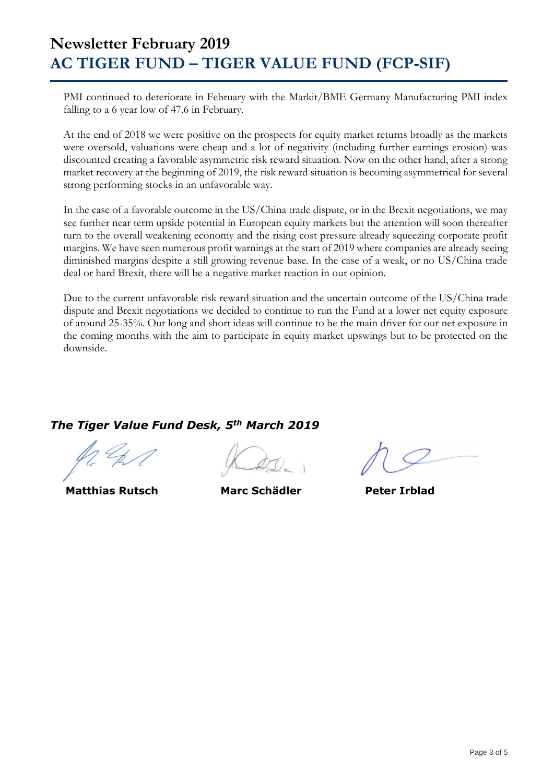PMI continued to deteriorate in February with the Markit/BME Germany Manufacturing PMI index falling to a 6 year low of 47.6 in February.

At the end of 2018 we were positive on the prospects for equity market returns broadly as the markets were oversold, valuations were cheap and a lot of negativity (including further earnings erosion) was discounted creating a favorable asymmetric risk reward situation. Now on the other hand, after a strong market recovery at the beginning of 2019, the risk reward situation is becoming asymmetrical for several strong performing stocks in an unfavorable way.

In the case of a favorable outcome in the US/China trade dispute, or in the Brexit negotiations, we may see further near term upside potential in European equity markets but the attention will soon thereafter turn to the overall weakening economy and the rising cost pressure already squeezing corporate profit margins. We have seen numerous profit warnings at the start of 2019 where companies are already seeing diminished margins despite a still growing revenue base. In the case of a weak, or no US/China trade deal or hard Brexit, there will be a negative market reaction in our opinion.

Due to the current unfavorable risk reward situation and the uncertain outcome of the US/China trade dispute and Brexit negotiations we decided to continue to run the Fund at a lower net equity exposure of around 25-35%. Our long and short ideas will continue to be the main driver for our net exposure in the coming months with the aim to participate in equity market upswings but to be protected on the downside.

### *The Tiger Value Fund Desk, 5th March 2019*

 **Matthias Rutsch Marc Schädler Peter Irblad**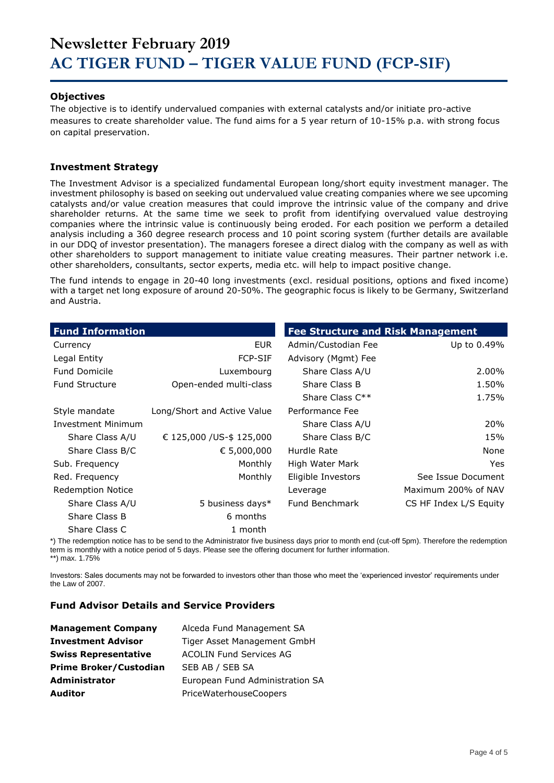#### **Objectives**

The objective is to identify undervalued companies with external catalysts and/or initiate pro-active measures to create shareholder value. The fund aims for a 5 year return of 10-15% p.a. with strong focus on capital preservation.

#### **Investment Strategy**

The Investment Advisor is a specialized fundamental European long/short equity investment manager. The investment philosophy is based on seeking out undervalued value creating companies where we see upcoming catalysts and/or value creation measures that could improve the intrinsic value of the company and drive shareholder returns. At the same time we seek to profit from identifying overvalued value destroying companies where the intrinsic value is continuously being eroded. For each position we perform a detailed analysis including a 360 degree research process and 10 point scoring system (further details are available in our DDQ of investor presentation). The managers foresee a direct dialog with the company as well as with other shareholders to support management to initiate value creating measures. Their partner network i.e. other shareholders, consultants, sector experts, media etc. will help to impact positive change.

The fund intends to engage in 20-40 long investments (excl. residual positions, options and fixed income) with a target net long exposure of around 20-50%. The geographic focus is likely to be Germany, Switzerland and Austria.

| <b>Fund Information</b>   |                             | <b>Fee Structure and Risk Management</b> |                        |
|---------------------------|-----------------------------|------------------------------------------|------------------------|
| Currency                  | EUR.                        | Admin/Custodian Fee                      | Up to 0.49%            |
| Legal Entity              | <b>FCP-SIF</b>              | Advisory (Mgmt) Fee                      |                        |
| <b>Fund Domicile</b>      | Luxembourg                  | Share Class A/U                          | 2.00%                  |
| <b>Fund Structure</b>     | Open-ended multi-class      | Share Class B                            | 1.50%                  |
|                           |                             | Share Class $C^{**}$                     | 1.75%                  |
| Style mandate             | Long/Short and Active Value | Performance Fee                          |                        |
| <b>Investment Minimum</b> |                             | Share Class A/U                          | 20%                    |
| Share Class A/U           | € 125,000 /US-\$ 125,000    | Share Class B/C                          | 15%                    |
| Share Class B/C           | € 5,000,000                 | Hurdle Rate                              | None                   |
| Sub. Frequency            | Monthly                     | High Water Mark                          | Yes.                   |
| Red. Frequency            | Monthly                     | Eligible Investors                       | See Issue Document     |
| <b>Redemption Notice</b>  |                             | Leverage                                 | Maximum 200% of NAV    |
| Share Class A/U           | 5 business days*            | <b>Fund Benchmark</b>                    | CS HF Index L/S Equity |
| Share Class B             | 6 months                    |                                          |                        |
| Share Class C             | 1 month                     |                                          |                        |

\*) The redemption notice has to be send to the Administrator five business days prior to month end (cut-off 5pm). Therefore the redemption term is monthly with a notice period of 5 days. Please see the offering document for further information. \*\*) max. 1.75%

Investors: Sales documents may not be forwarded to investors other than those who meet the 'experienced investor' requirements under the Law of 2007.

#### **Fund Advisor Details and Service Providers**

| <b>Management Company</b>     | Alceda Fund Management SA       |
|-------------------------------|---------------------------------|
| <b>Investment Advisor</b>     | Tiger Asset Management GmbH     |
| <b>Swiss Representative</b>   | <b>ACOLIN Fund Services AG</b>  |
| <b>Prime Broker/Custodian</b> | SEB AB / SEB SA                 |
| <b>Administrator</b>          | European Fund Administration SA |
| <b>Auditor</b>                | PriceWaterhouseCoopers          |